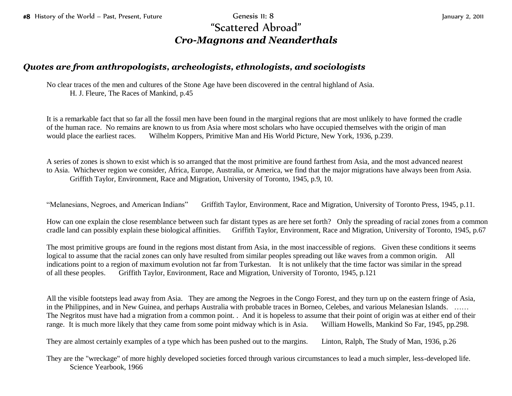## "Scattered Abroad" *Cro-Magnons and Neanderthals*

## *Quotes are from anthropologists, archeologists, ethnologists, and sociologists*

No clear traces of the men and cultures of the Stone Age have been discovered in the central highland of Asia. H. J. Fleure, The Races of Mankind, p.45

It is a remarkable fact that so far all the fossil men have been found in the marginal regions that are most unlikely to have formed the cradle of the human race. No remains are known to us from Asia where most scholars who have occupied themselves with the origin of man would place the earliest races. Wilhelm Koppers, Primitive Man and His World Picture, New York, 1936, p.239.

A series of zones is shown to exist which is so arranged that the most primitive are found farthest from Asia, and the most advanced nearest to Asia. Whichever region we consider, Africa, Europe, Australia, or America, we find that the major migrations have always been from Asia. Griffith Taylor, Environment, Race and Migration, University of Toronto, 1945, p.9, 10.

"Melanesians, Negroes, and American Indians" Griffith Taylor, Environment, Race and Migration, University of Toronto Press, 1945, p.11.

How can one explain the close resemblance between such far distant types as are here set forth? Only the spreading of racial zones from a common cradle land can possibly explain these biological affinities. Griffith Taylor, Environment, Race and Migration, University of Toronto, 1945, p.67

The most primitive groups are found in the regions most distant from Asia, in the most inaccessible of regions. Given these conditions it seems logical to assume that the racial zones can only have resulted from similar peoples spreading out like waves from a common origin. All indications point to a region of maximum evolution not far from Turkestan. It is not unlikely that the time factor was similar in the spread of all these peoples. Griffith Taylor, Environment, Race and Migration, University of Toronto, 1945, p.121

All the visible footsteps lead away from Asia. They are among the Negroes in the Congo Forest, and they turn up on the eastern fringe of Asia, in the Philippines, and in New Guinea, and perhaps Australia with probable traces in Borneo, Celebes, and various Melanesian Islands. …… The Negritos must have had a migration from a common point. . And it is hopeless to assume that their point of origin was at either end of their range. It is much more likely that they came from some point midway which is in Asia. William Howells, Mankind So Far, 1945, pp.298.

They are almost certainly examples of a type which has been pushed out to the margins. Linton, Ralph, The Study of Man, 1936, p.26

They are the "wreckage" of more highly developed societies forced through various circumstances to lead a much simpler, less-developed life. Science Yearbook, 1966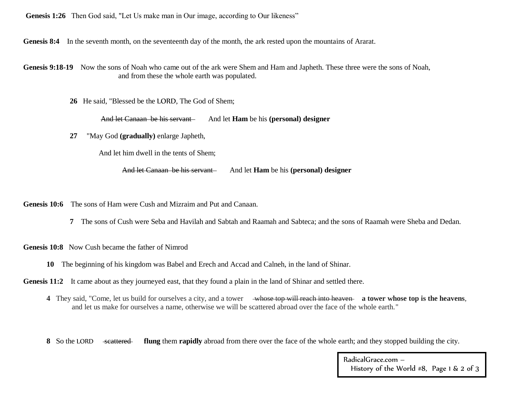**Genesis 1:26** Then God said, "Let Us make man in Our image, according to Our likeness"

Genesis 8:4 In the seventh month, on the seventeenth day of the month, the ark rested upon the mountains of Ararat.

Genesis 9:18-19 Now the sons of Noah who came out of the ark were Shem and Ham and Japheth. These three were the sons of Noah, and from these the whole earth was populated.

**26** He said, "Blessed be the LORD, The God of Shem;

And let Canaan be his servant And let **Ham** be his **(personal)** designer

**27** "May God **(gradually)** enlarge Japheth,

And let him dwell in the tents of Shem;

And let Canaan be his servant And let **Ham** be his **(personal)** designer

**Genesis 10:6** The sons of Ham were Cush and Mizraim and Put and Canaan.

**7** The sons of Cush were Seba and Havilah and Sabtah and Raamah and Sabteca; and the sons of Raamah were Sheba and Dedan.

**Genesis 10:8** Now Cush became the father of Nimrod

**10** The beginning of his kingdom was Babel and Erech and Accad and Calneh, in the land of Shinar.

**Genesis 11:2** It came about as they journeyed east, that they found a plain in the land of Shinar and settled there.

**4** They said, "Come, let us build for ourselves a city, and a tower whose top will reach into heaven **a tower whose top is the heavens**, and let us make for ourselves a name, otherwise we will be scattered abroad over the face of the whole earth."

**8** So the LORD scattered **flung** them **rapidly** abroad from there over the face of the whole earth; and they stopped building the city.

RadicalGrace.com – History of the World #8, Page 1 & 2 of 3